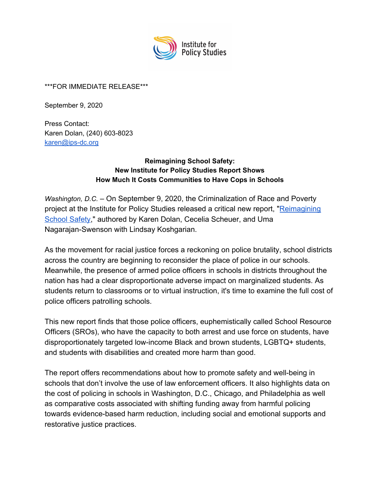

#### \*\*\*FOR IMMEDIATE RELEASE\*\*\*

September 9, 2020

Press Contact: Karen Dolan, (240) 603-8023 [karen@ips-dc.org](mailto:karen@ips-dc.org)

### **Reimagining School Safety: New Institute for Policy Studies Report Shows How Much It Costs Communities to Have Cops in Schools**

*Washington, D.C.* – On September 9, 2020, the Criminalization of Race and Poverty project at the Institute for Policy Studies released a critical new report, "[Reimagining](https://ips-dc.org/report-reimagining-school-safety) [School Safety](https://ips-dc.org/report-reimagining-school-safety)," authored by Karen Dolan, Cecelia Scheuer, and Uma Nagarajan-Swenson with Lindsay Koshgarian.

As the movement for racial justice forces a reckoning on police brutality, school districts [across the country](https://www.washingtonpost.com/education/2020/06/12/schools-police-george-floyd-protests/) are beginning to reconsider the place of police in our schools. Meanwhile, the presence of armed police officers in schools in districts throughout the nation has had a clear disproportionate adverse impact on marginalized students. As students return to classrooms or to virtual instruction, it's time to examine the full cost of police officers patrolling schools.

This new report finds that those police officers, euphemistically called School Resource Officers (SROs), who have the capacity to both arrest and use force on students, have [disproportionately targeted](https://www.aclu.org/sites/default/files/field_document/030419-acluschooldisciplinereport.pdf) low-income Black and brown students, LGBTQ+ students, and students with disabilities and created more harm than good.

The report offers recommendations about how to promote safety and well-being in schools that don't involve the use of law enforcement officers. It also highlights data on the cost of policing in schools in Washington, D.C., Chicago, and Philadelphia as well as comparative costs associated with shifting funding away from harmful policing towards evidence-based harm reduction, including social and emotional supports and restorative justice practices.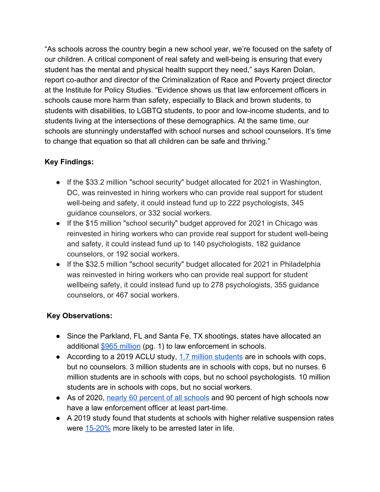"As schools across the country begin a new school year, we're focused on the safety of our children. A critical component of real safety and well-being is ensuring that every student has the mental and physical health support they need," says Karen Dolan, report co-author and director of the Criminalization of Race and Poverty project director at the Institute for Policy Studies. "Evidence shows us that law enforcement officers in schools cause more harm than safety, especially to Black and brown students, to students with disabilities, to LGBTQ students, to poor and low-income students, and to students living at the intersections of these demographics. At the same time, our schools are stunningly understaffed with school nurses and school counselors. It's time to change that equation so that all children can be safe and thriving."

# **Key Findings:**

- If the \$33.2 million "school security" budget allocated for 2021 in Washington, DC, was reinvested in hiring workers who can provide real support for student well-being and safety, it could instead fund up to 222 psychologists, 345 guidance counselors, or 332 social workers.
- If the \$15 million "school security" budget approved for 2021 in Chicago was reinvested in hiring workers who can provide real support for student well-being and safety, it could instead fund up to 140 psychologists, 182 guidance counselors, or 192 social workers.
- If the \$32.5 million "school security" budget allocated for 2021 in Philadelphia was reinvested in hiring workers who can provide real support for student wellbeing safety, it could instead fund up to 278 psychologists, 355 guidance counselors, or 467 social workers.

## **Key Observations:**

- Since the Parkland, FL and Santa Fe, TX shootings, states have allocated an additional [\\$965 million](https://strategiesforyouth.org/sitefiles/wp-content/uploads/2019/10/SFY-Two-Billion-Dollars-Later-Report-Oct2019-ES.pdf) (pg. 1) to law enforcement in schools.
- According to a 2019 ACLU study, [1.7 million students](https://www.aclu.org/issues/juvenile-justice/school-prison-pipeline/police-presence-schools) are in schools with cops, but no counselors. 3 million students are in schools with cops, but no nurses. 6 million students are in schools with cops, but no school psychologists. 10 million students are in schools with cops, but no social workers.
- As of 2020, [nearly 60 percent of all schools](https://www.washingtonpost.com/education/2020/06/12/schools-police-george-floyd-protests/) and 90 percent of high schools now have a law enforcement officer at least part-time.
- A 2019 study found that students at schools with higher relative suspension rates were [15-20%](https://www.nber.org/papers/w26257) more likely to be arrested later in life.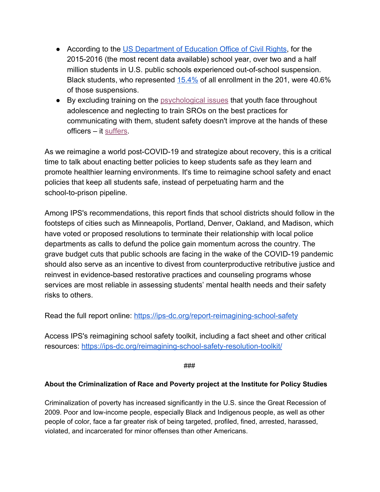- According to the [US Department of Education Office of Civil Rights](https://ocrdata.ed.gov/StateNationalEstimations/Estimations_2015_16), for the 2015-2016 (the most recent data available) school year, over two and a half million students in U.S. public schools experienced out-of-school suspension. Black students, who represented [15.4%](https://ocrdata.ed.gov/StateNationalEstimations/Estimations_2015_16) of all enrollment in the 201, were 40.6% of those suspensions.
- By excluding training on the [psychological issues](https://www.jahonline.org/article/S1054-139X(19)30334-9/fulltext) that youth face throughout adolescence and neglecting to train SROs on the best practices for communicating with them, student safety doesn't improve at the hands of these officers – it [suffers.](https://www.jahonline.org/article/S1054-139X(19)30334-9/fulltext)

As we reimagine a world post-COVID-19 and strategize about recovery, this is a critical time to talk about enacting better policies to keep students safe as they learn and promote healthier learning environments. It's time to reimagine school safety and enact policies that keep all students safe, instead of perpetuating harm and the school-to-prison pipeline.

Among IPS's recommendations, this report finds that school districts should follow in the footsteps of cities such as Minneapolis, Portland, Denver, Oakland, and Madison, which have voted or proposed resolutions to terminate their relationship with local police departments as calls to defund the police gain momentum across the country. The grave budget cuts that public schools are facing in the wake of the COVID-19 pandemic should also serve as an incentive to divest from counterproductive retributive justice and reinvest in evidence-based restorative practices and counseling programs whose services are most reliable in assessing students' mental health needs and their safety risks to others.

Read the full report online: <https://ips-dc.org/report-reimagining-school-safety>

Access IPS's reimagining school safety toolkit, including a fact sheet and other critical resources:<https://ips-dc.org/reimagining-school-safety-resolution-toolkit/>

###

#### **About the Criminalization of Race and Poverty project at the Institute for Policy Studies**

Criminalization of poverty has increased significantly in the U.S. since the Great Recession of 2009. Poor and low-income people, especially Black and Indigenous people, as well as other people of color, face a far greater risk of being targeted, profiled, fined, arrested, harassed, violated, and incarcerated for minor offenses than other Americans.